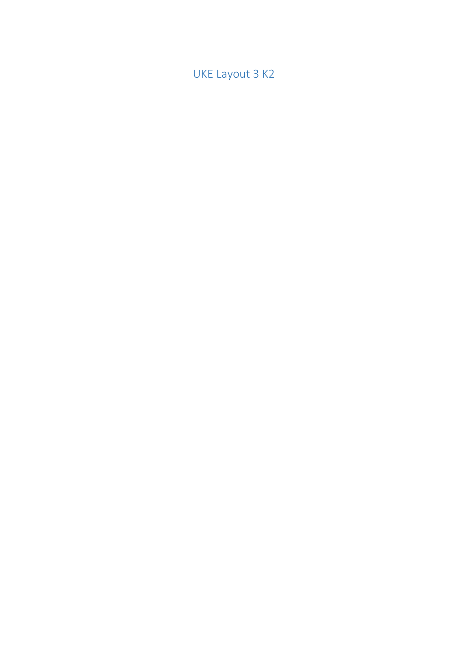UKE Layout 3 K2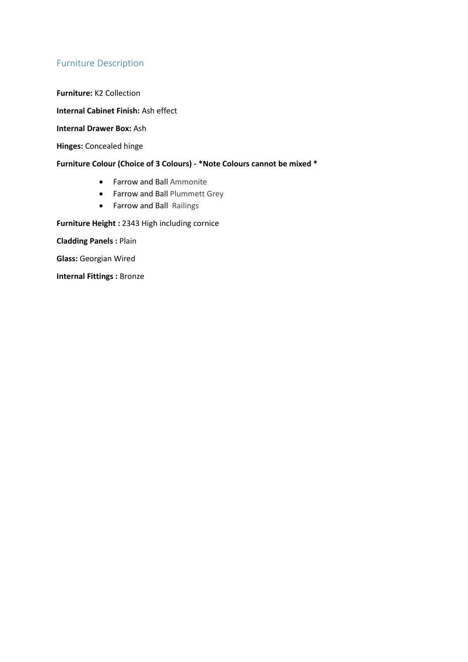# Furniture Description

**Furniture:** K2 Collection

**Internal Cabinet Finish:** Ash effect

**Internal Drawer Box:** Ash

**Hinges:** Concealed hinge

### **Furniture Colour (Choice of 3 Colours) - \*Note Colours cannot be mixed \***

- Farrow and Ball Ammonite
- **•** Farrow and Ball Plummett Grey
- Farrow and Ball Railings

**Furniture Height :** 2343 High including cornice

**Cladding Panels :** Plain

**Glass:** Georgian Wired

**Internal Fittings :** Bronze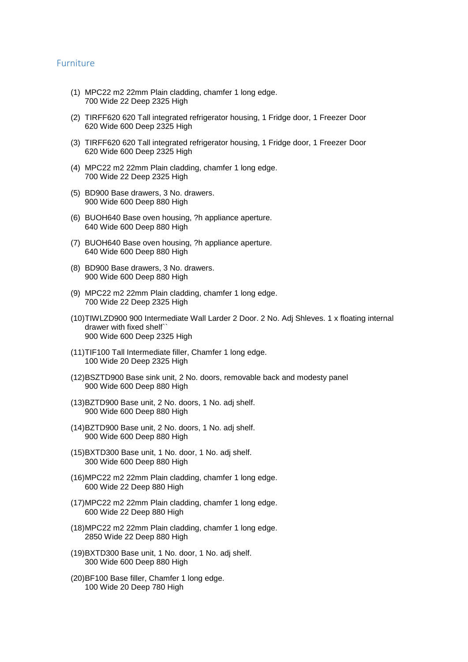#### Furniture

- (1) MPC22 m2 22mm Plain cladding, chamfer 1 long edge. 700 Wide 22 Deep 2325 High
- (2) TIRFF620 620 Tall integrated refrigerator housing, 1 Fridge door, 1 Freezer Door 620 Wide 600 Deep 2325 High
- (3) TIRFF620 620 Tall integrated refrigerator housing, 1 Fridge door, 1 Freezer Door 620 Wide 600 Deep 2325 High
- (4) MPC22 m2 22mm Plain cladding, chamfer 1 long edge. 700 Wide 22 Deep 2325 High
- (5) BD900 Base drawers, 3 No. drawers. 900 Wide 600 Deep 880 High
- (6) BUOH640 Base oven housing, ?h appliance aperture. 640 Wide 600 Deep 880 High
- (7) BUOH640 Base oven housing, ?h appliance aperture. 640 Wide 600 Deep 880 High
- (8) BD900 Base drawers, 3 No. drawers. 900 Wide 600 Deep 880 High
- (9) MPC22 m2 22mm Plain cladding, chamfer 1 long edge. 700 Wide 22 Deep 2325 High
- (10)TIWLZD900 900 Intermediate Wall Larder 2 Door. 2 No. Adj Shleves. 1 x floating internal drawer with fixed shelf` 900 Wide 600 Deep 2325 High
- (11)TIF100 Tall Intermediate filler, Chamfer 1 long edge. 100 Wide 20 Deep 2325 High
- (12)BSZTD900 Base sink unit, 2 No. doors, removable back and modesty panel 900 Wide 600 Deep 880 High
- (13)BZTD900 Base unit, 2 No. doors, 1 No. adj shelf. 900 Wide 600 Deep 880 High
- (14)BZTD900 Base unit, 2 No. doors, 1 No. adj shelf. 900 Wide 600 Deep 880 High
- (15)BXTD300 Base unit, 1 No. door, 1 No. adj shelf. 300 Wide 600 Deep 880 High
- (16)MPC22 m2 22mm Plain cladding, chamfer 1 long edge. 600 Wide 22 Deep 880 High
- (17)MPC22 m2 22mm Plain cladding, chamfer 1 long edge. 600 Wide 22 Deep 880 High
- (18)MPC22 m2 22mm Plain cladding, chamfer 1 long edge. 2850 Wide 22 Deep 880 High
- (19)BXTD300 Base unit, 1 No. door, 1 No. adj shelf. 300 Wide 600 Deep 880 High
- (20)BF100 Base filler, Chamfer 1 long edge. 100 Wide 20 Deep 780 High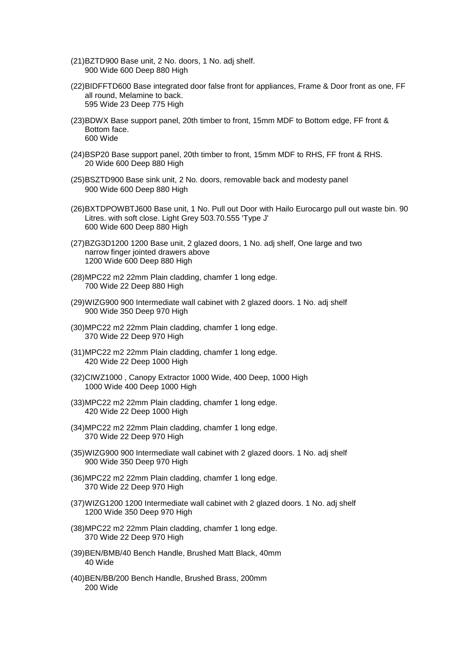- (21)BZTD900 Base unit, 2 No. doors, 1 No. adj shelf. 900 Wide 600 Deep 880 High
- (22)BIDFFTD600 Base integrated door false front for appliances, Frame & Door front as one, FF all round, Melamine to back. 595 Wide 23 Deep 775 High
- (23)BDWX Base support panel, 20th timber to front, 15mm MDF to Bottom edge, FF front & Bottom face. 600 Wide
- (24)BSP20 Base support panel, 20th timber to front, 15mm MDF to RHS, FF front & RHS. 20 Wide 600 Deep 880 High
- (25)BSZTD900 Base sink unit, 2 No. doors, removable back and modesty panel 900 Wide 600 Deep 880 High
- (26)BXTDPOWBTJ600 Base unit, 1 No. Pull out Door with Hailo Eurocargo pull out waste bin. 90 Litres. with soft close. Light Grey 503.70.555 'Type J' 600 Wide 600 Deep 880 High
- (27)BZG3D1200 1200 Base unit, 2 glazed doors, 1 No. adj shelf, One large and two narrow finger jointed drawers above 1200 Wide 600 Deep 880 High
- (28)MPC22 m2 22mm Plain cladding, chamfer 1 long edge. 700 Wide 22 Deep 880 High
- (29)WIZG900 900 Intermediate wall cabinet with 2 glazed doors. 1 No. adj shelf 900 Wide 350 Deep 970 High
- (30)MPC22 m2 22mm Plain cladding, chamfer 1 long edge. 370 Wide 22 Deep 970 High
- (31)MPC22 m2 22mm Plain cladding, chamfer 1 long edge. 420 Wide 22 Deep 1000 High
- (32)CIWZ1000 , Canopy Extractor 1000 Wide, 400 Deep, 1000 High 1000 Wide 400 Deep 1000 High
- (33)MPC22 m2 22mm Plain cladding, chamfer 1 long edge. 420 Wide 22 Deep 1000 High
- (34)MPC22 m2 22mm Plain cladding, chamfer 1 long edge. 370 Wide 22 Deep 970 High
- (35)WIZG900 900 Intermediate wall cabinet with 2 glazed doors. 1 No. adj shelf 900 Wide 350 Deep 970 High
- (36)MPC22 m2 22mm Plain cladding, chamfer 1 long edge. 370 Wide 22 Deep 970 High
- (37)WIZG1200 1200 Intermediate wall cabinet with 2 glazed doors. 1 No. adj shelf 1200 Wide 350 Deep 970 High
- (38)MPC22 m2 22mm Plain cladding, chamfer 1 long edge. 370 Wide 22 Deep 970 High
- (39)BEN/BMB/40 Bench Handle, Brushed Matt Black, 40mm 40 Wide
- (40)BEN/BB/200 Bench Handle, Brushed Brass, 200mm 200 Wide